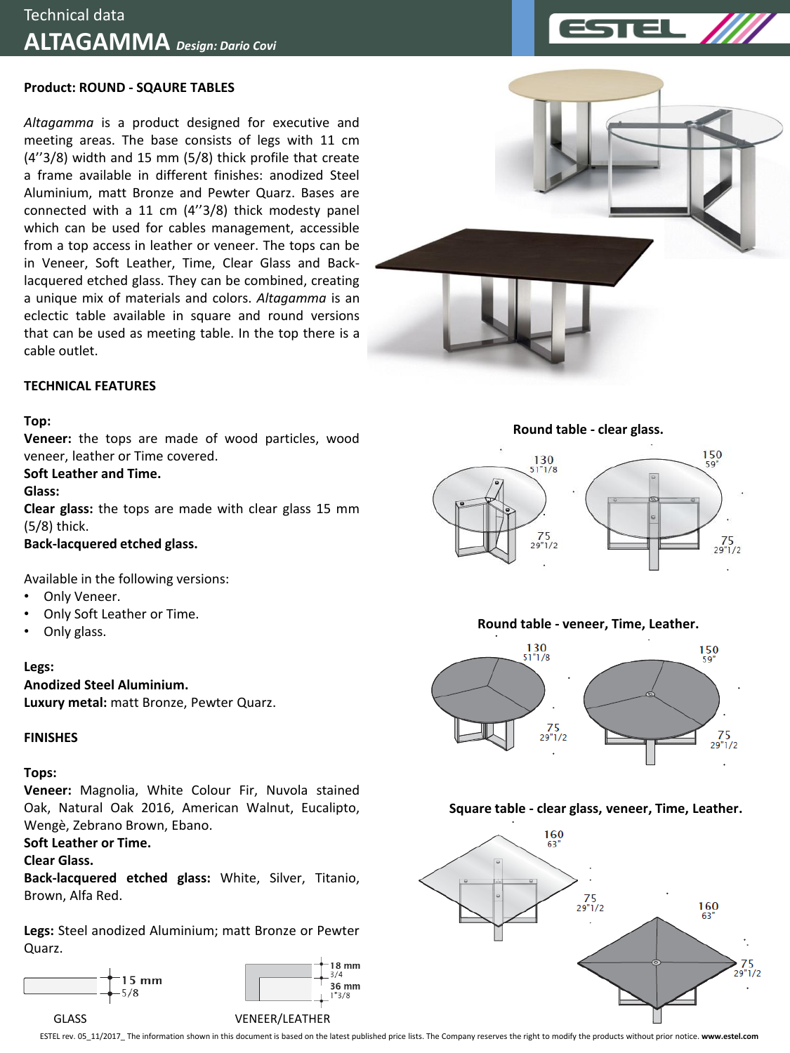

*Altagamma* is a product designed for executive and meeting areas. The base consists of legs with 11 cm (4''3/8) width and 15 mm (5/8) thick profile that create a frame available in different finishes: anodized Steel Aluminium, matt Bronze and Pewter Quarz. Bases are connected with a 11 cm (4''3/8) thick modesty panel which can be used for cables management, accessible from a top access in leather or veneer. The tops can be in Veneer, Soft Leather, Time, Clear Glass and Backlacquered etched glass. They can be combined, creating a unique mix of materials and colors. *Altagamma* is an eclectic table available in square and round versions that can be used as meeting table. In the top there is a cable outlet.



## **Top:**

**Veneer:** the tops are made of wood particles, wood veneer, leather or Time covered.

## **Soft Leather and Time.**

**Glass:**

**Clear glass:** the tops are made with clear glass 15 mm (5/8) thick.

## **Back-lacquered etched glass.**

Available in the following versions:

- Only Veneer.
- Only Soft Leather or Time.
- Only glass.

**Legs:**

**Anodized Steel Aluminium. Luxury metal:** matt Bronze, Pewter Quarz.

## **FINISHES**

## **Tops:**

**Veneer:** Magnolia, White Colour Fir, Nuvola stained Oak, Natural Oak 2016, American Walnut, Eucalipto, Wengè, Zebrano Brown, Ebano.

## **Soft Leather or Time.**

## **Clear Glass.**

**Back-lacquered etched glass:** White, Silver, Titanio, Brown, Alfa Red.

**Legs:** Steel anodized Aluminium; matt Bronze or Pewter Quarz.













## **Square table - clear glass, veneer, Time, Leather.**



ESTEL rev. 05\_11/2017\_ The information shown in this document is based on the latest published price lists. The Company reserves the right to modify the products without prior notice. **www.estel.com**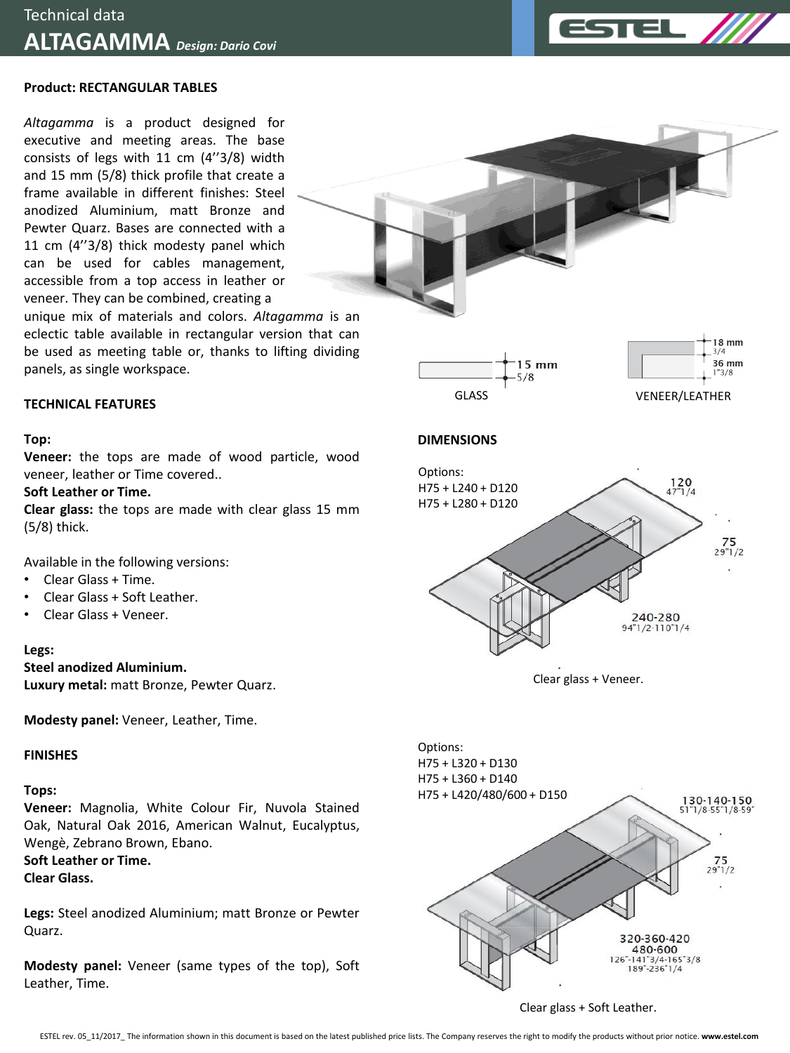

## **Product: RECTANGULAR TABLES**

*Altagamma* is a product designed for executive and meeting areas. The base consists of legs with 11 cm (4''3/8) width and 15 mm (5/8) thick profile that create a frame available in different finishes: Steel anodized Aluminium, matt Bronze and Pewter Quarz. Bases are connected with a 11 cm (4''3/8) thick modesty panel which can be used for cables management, accessible from a top access in leather or veneer. They can be combined, creating a

unique mix of materials and colors. *Altagamma* is an eclectic table available in rectangular version that can be used as meeting table or, thanks to lifting dividing panels, as single workspace.





# 36 mm

18 mm  $3/4$ 

## **DIMENSIONS**



Available in the following versions:

• Clear Glass + Time.

**TECHNICAL FEATURES**

**Soft Leather or Time.**

- Clear Glass + Soft Leather.
- Clear Glass + Veneer.

## **Legs:**

**Top:**

(5/8) thick.

**Steel anodized Aluminium.**

**Luxury metal:** matt Bronze, Pewter Quarz.

**Modesty panel:** Veneer, Leather, Time.

## **FINISHES**

## **Tops:**

**Veneer:** Magnolia, White Colour Fir, Nuvola Stained Oak, Natural Oak 2016, American Walnut, Eucalyptus, Wengè, Zebrano Brown, Ebano.

**Soft Leather or Time. Clear Glass.**

**Legs:** Steel anodized Aluminium; matt Bronze or Pewter Quarz.

**Modesty panel:** Veneer (same types of the top), Soft Leather, Time.



Clear glass + Veneer.



#### Clear glass + Soft Leather.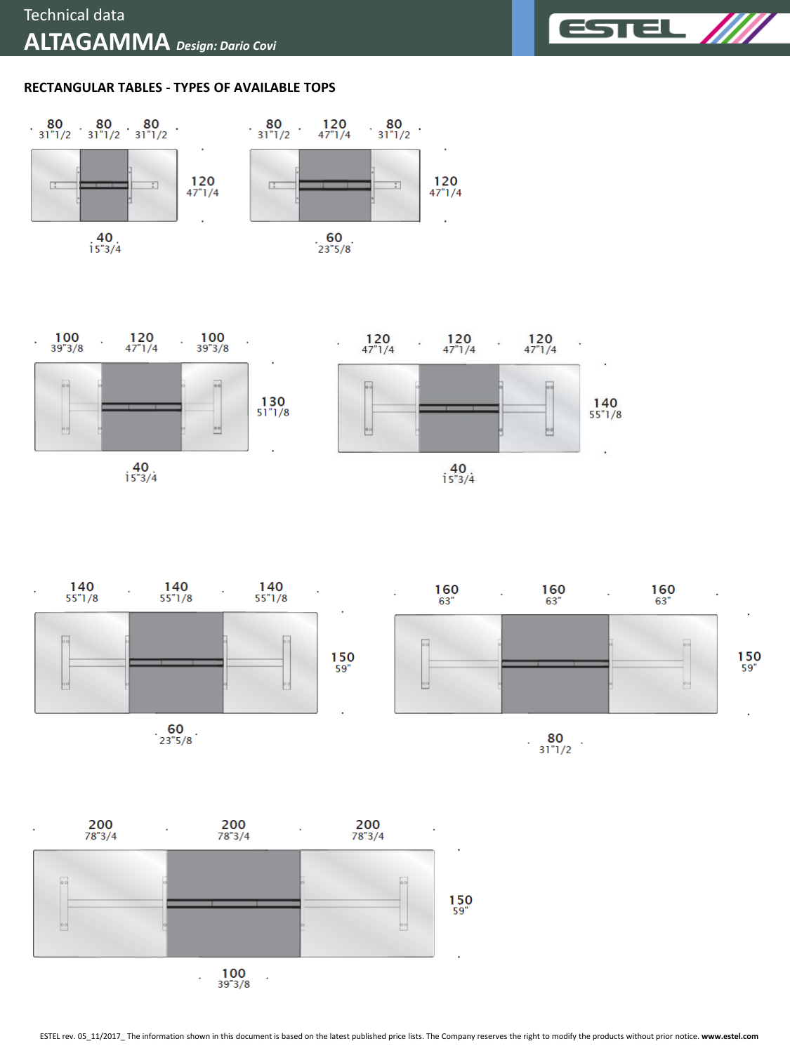

## **RECTANGULAR TABLES - TYPES OF AVAILABLE TOPS**







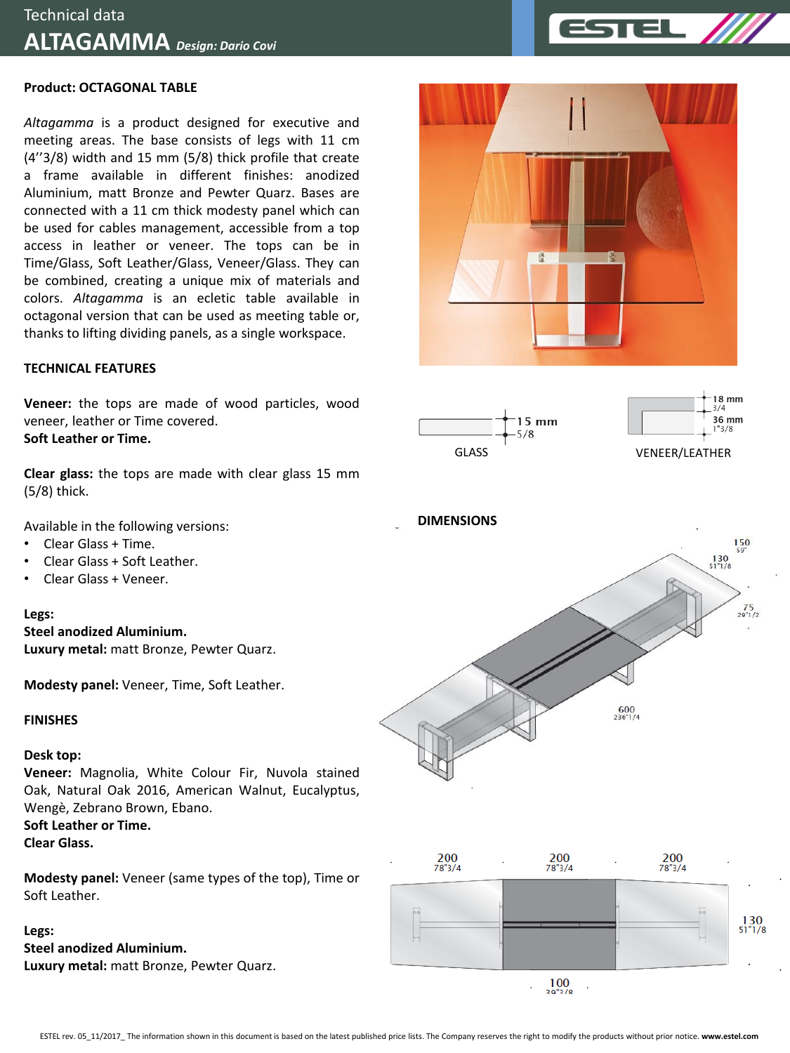## **Product: OCTAGONAL TABLE**

*Altagamma* is a product designed for executive and meeting areas. The base consists of legs with 11 cm (4''3/8) width and 15 mm (5/8) thick profile that create a frame available in different finishes: anodized Aluminium, matt Bronze and Pewter Quarz. Bases are connected with a 11 cm thick modesty panel which can be used for cables management, accessible from a top access in leather or veneer. The tops can be in Time/Glass, Soft Leather/Glass, Veneer/Glass. They can be combined, creating a unique mix of materials and colors. *Altagamma* is an ecletic table available in octagonal version that can be used as meeting table or, thanks to lifting dividing panels, as a single workspace.

## **TECHNICAL FEATURES**

**Veneer:** the tops are made of wood particles, wood veneer, leather or Time covered. **Soft Leather or Time.**

**Clear glass:** the tops are made with clear glass 15 mm (5/8) thick.

Available in the following versions:

- Clear Glass + Time.
- Clear Glass + Soft Leather.
- Clear Glass + Veneer.

#### **Legs:**

**Steel anodized Aluminium.**

**Luxury metal:** matt Bronze, Pewter Quarz.

**Modesty panel:** Veneer, Time, Soft Leather.

## **FINISHES**

## **Desk top:**

**Veneer:** Magnolia, White Colour Fir, Nuvola stained Oak, Natural Oak 2016, American Walnut, Eucalyptus, Wengè, Zebrano Brown, Ebano.

**Soft Leather or Time.**

**Clear Glass.**

**Modesty panel:** Veneer (same types of the top), Time or Soft Leather.

## **Legs:**

**Steel anodized Aluminium. Luxury metal:** matt Bronze, Pewter Quarz.





18 mm  $3/4$ 36 mm  $1"3/8$